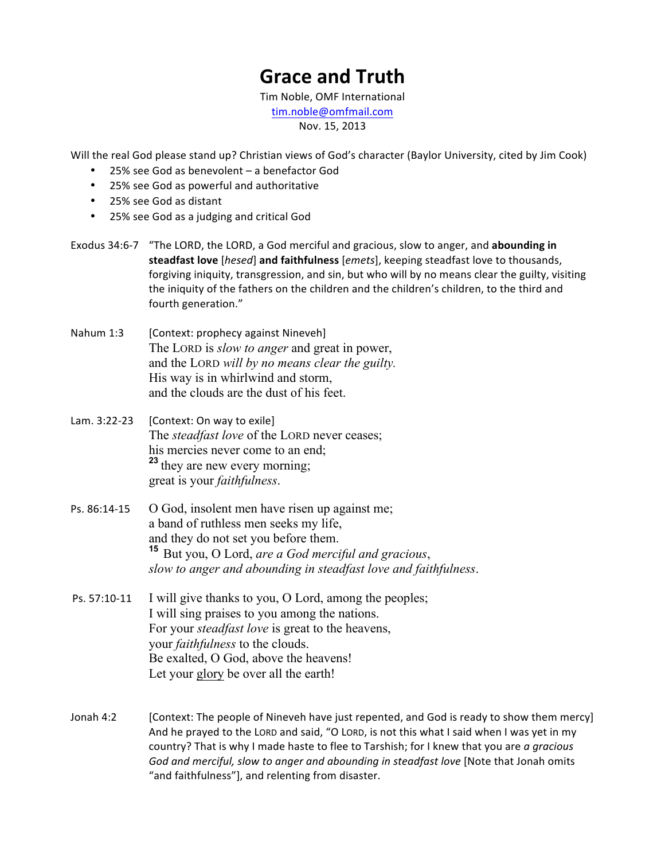## **Grace and Truth**

Tim Noble, OMF International tim.noble@omfmail.com Nov. 15, 2013

Will the real God please stand up? Christian views of God's character (Baylor University, cited by Jim Cook)

- 25% see God as benevolent a benefactor God
- 25% see God as powerful and authoritative
- 25% see God as distant
- 25% see God as a judging and critical God

Exodus 34:6-7 "The LORD, the LORD, a God merciful and gracious, slow to anger, and abounding in **steadfast love** [hesed] **and faithfulness** [emets], keeping steadfast love to thousands, forgiving iniquity, transgression, and sin, but who will by no means clear the guilty, visiting the iniquity of the fathers on the children and the children's children, to the third and fourth generation."

- Nahum 1:3 [Context: prophecy against Nineveh] The LORD is *slow to anger* and great in power, and the LORD *will by no means clear the guilty.* His way is in whirlwind and storm, and the clouds are the dust of his feet.
- Lam.  $3:22-23$  [Context: On way to exile] The *steadfast love* of the LORD never ceases; his mercies never come to an end; **<sup>23</sup>** they are new every morning; great is your *faithfulness*.
- $Ps. 86:14-15$  O God, insolent men have risen up against me; a band of ruthless men seeks my life, and they do not set you before them. **<sup>15</sup>** But you, O Lord, *are a God merciful and gracious*, *slow to anger and abounding in steadfast love and faithfulness*.
- Ps.  $57:10-11$  I will give thanks to you, O Lord, among the peoples; I will sing praises to you among the nations. For your *steadfast love* is great to the heavens, your *faithfulness* to the clouds. Be exalted, O God, above the heavens! Let your glory be over all the earth!
- Jonah 4:2 [Context: The people of Nineveh have just repented, and God is ready to show them mercy] And he prayed to the LORD and said, "O LORD, is not this what I said when I was yet in my country? That is why I made haste to flee to Tarshish; for I knew that you are *a gracious* God and merciful, slow to anger and abounding in steadfast love [Note that Jonah omits "and faithfulness"], and relenting from disaster.